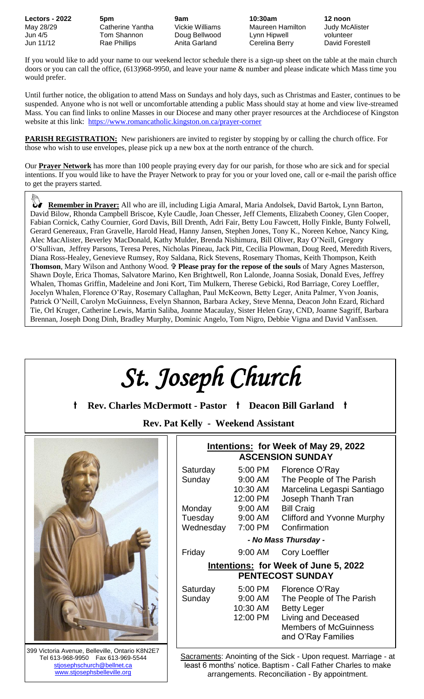**Lectors - 2022 5pm 9am 10:30am 12 noon** May 28/29 Catherine Yantha Vickie Williams Maureen Hamilton Judy McAlister Jun 4/5 Tom Shannon Doug Bellwood Lynn Hipwell volunteer Jun 11/12 Rae Phillips Anita Garland Cerelina Berry David Forestell

If you would like to add your name to our weekend lector schedule there is a sign-up sheet on the table at the main church doors or you can call the office, (613)968-9950, and leave your name & number and please indicate which Mass time you would prefer.

Until further notice, the obligation to attend Mass on Sundays and holy days, such as Christmas and Easter, continues to be suspended. Anyone who is not well or uncomfortable attending a public Mass should stay at home and view live-streamed Mass. You can find links to online Masses in our Diocese and many other prayer resources at the Archdiocese of Kingston website at this link: <https://www.romancatholic.kingston.on.ca/prayer-corner>

**PARISH REGISTRATION:** New parishioners are invited to register by stopping by or calling the church office. For those who wish to use envelopes, please pick up a new box at the north entrance of the church.

Our **Prayer Network** has more than 100 people praying every day for our parish, for those who are sick and for special intentions. If you would like to have the Prayer Network to pray for you or your loved one, call or e-mail the parish office to get the prayers started.

 **Remember in Prayer:** All who are ill, including Ligia Amaral, Maria Andolsek, David Bartok, Lynn Barton, David Bilow, Rhonda Campbell Briscoe, Kyle Caudle, Joan Chesser, Jeff Clements, Elizabeth Cooney, Glen Cooper, Fabian Cornick, Cathy Cournier, Gord Davis, Bill Drenth, Adri Fair, Betty Lou Fawcett, Holly Finkle, Bunty Folwell, Gerard Genereaux, Fran Gravelle, Harold Head, Hanny Jansen, Stephen Jones, Tony K., Noreen Kehoe, Nancy King, Alec MacAlister, Beverley MacDonald, Kathy Mulder, Brenda Nishimura, Bill Oliver, Ray O'Neill, Gregory O'Sullivan, Jeffrey Parsons, Teresa Peres, Nicholas Pineau, Jack Pitt, Cecilia Plowman, Doug Reed, Meredith Rivers, Diana Ross-Healey, Genevieve Rumsey, Roy Saldana, Rick Stevens, Rosemary Thomas, Keith Thompson, Keith **Thomson**, Mary Wilson and Anthony Wood. **Please pray for the repose of the souls** of Mary Agnes Masterson, Shawn Doyle, Erica Thomas, Salvatore Marino, Ken Brightwell, Ron Lalonde, Joanna Sosiak, Donald Eves, Jeffrey Whalen, Thomas Griffin, Madeleine and Joni Kort, Tim Mulkern, Therese Gebicki, Rod Barriage, Corey Loeffler, Jocelyn Whalen, Florence O'Ray, Rosemary Callaghan, Paul McKeown, Betty Leger, Anita Palmer, Yvon Joanis, Patrick O'Neill, Carolyn McGuinness, Evelyn Shannon, Barbara Ackey, Steve Menna, Deacon John Ezard, Richard Tie, Orl Kruger, Catherine Lewis, Martin Saliba, Joanne Macaulay, Sister Helen Gray, CND, Joanne Sagriff, Barbara Brennan, Joseph Dong Dinh, Bradley Murphy, Dominic Angelo, Tom Nigro, Debbie Vigna and David VanEssen.

| St. Joseph Church<br>t<br>Rev. Charles McDermott - Pastor † Deacon Bill Garland †       |                                                                        |                                 |                                                                                                                                                       |  |  |  |  |  |
|-----------------------------------------------------------------------------------------|------------------------------------------------------------------------|---------------------------------|-------------------------------------------------------------------------------------------------------------------------------------------------------|--|--|--|--|--|
| <b>Rev. Pat Kelly - Weekend Assistant</b>                                               |                                                                        |                                 |                                                                                                                                                       |  |  |  |  |  |
|                                                                                         | <b>Intentions: for Week of May 29, 2022</b><br><b>ASCENSION SUNDAY</b> |                                 |                                                                                                                                                       |  |  |  |  |  |
|                                                                                         | Saturday<br>Sunday                                                     | 5:00 PM<br>10:30 AM<br>12:00 PM | Florence O'Ray<br>9:00 AM The People of The Parish<br>Marcelina Legaspi Santiago<br>Joseph Thanh Tran                                                 |  |  |  |  |  |
|                                                                                         | Monday<br>Tuesday 9:00 AM<br>Wednesday 7:00 PM                         | 9:00 AM                         | <b>Bill Craig</b><br><b>Clifford and Yvonne Murphy</b><br>Confirmation                                                                                |  |  |  |  |  |
|                                                                                         | - No Mass Thursday -                                                   |                                 |                                                                                                                                                       |  |  |  |  |  |
|                                                                                         | Friday                                                                 | 9:00 AM                         | <b>Cory Loeffler</b>                                                                                                                                  |  |  |  |  |  |
|                                                                                         | Intentions: for Week of June 5, 2022<br><b>PENTECOST SUNDAY</b>        |                                 |                                                                                                                                                       |  |  |  |  |  |
|                                                                                         | Saturday<br>Sunday                                                     | 5:00 PM<br>10:30 AM<br>12:00 PM | Florence O'Ray<br>9:00 AM The People of The Parish<br><b>Betty Leger</b><br>Living and Deceased<br><b>Members of McGuinness</b><br>and O'Ray Families |  |  |  |  |  |
| 399 Victoria Avenue, Belleville, Ontario K8N2E7<br>Tel 613-968-9950    Fax 613-969-5544 |                                                                        |                                 | Sacraments: Anointing of the Sick - Upon request. Marriage - at                                                                                       |  |  |  |  |  |

stjosephschurch@bellnet.ca [www.stjosephsbelleville.org](http://www.stjosephsbelleville.org/)

least 6 months' notice. Baptism - Call Father Charles to make arrangements. Reconciliation - By appointment.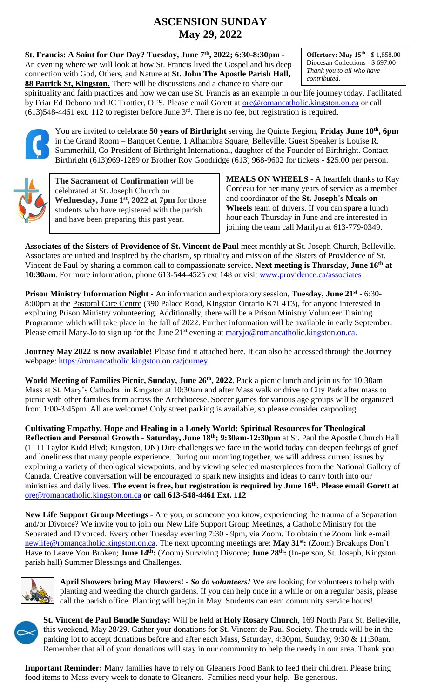# **ASCENSION SUNDAY May 29, 2022**

**St. Francis: A Saint for Our Day? Tuesday, June 7th, 2022; 6:30-8:30pm -** An evening where we will look at how St. Francis lived the Gospel and his deep connection with God, Others, and Nature at **St. John The Apostle Parish Hall, 88 Patrick St, Kingston.** There will be discussions and a chance to share our

**Offertory: May 15th** - \$ 1,858.00 Diocesan Collections - \$ 697.00 *Thank you to all who have contributed.*

spirituality and faith practices and how we can use St. Francis as an example in our life journey today. Facilitated by Friar Ed Debono and JC Trottier, OFS. Please email Gorett at [ore@romancatholic.kingston.on.ca](mailto:ore@romancatholic.kingston.on.ca) or call  $(613)$ 548-4461 ext. 112 to register before June  $3<sup>rd</sup>$ . There is no fee, but registration is required.



You are invited to celebrate **50 years of Birthright** serving the Quinte Region, **Friday June 10th, 6pm** in the Grand Room – Banquet Centre, 1 Alhambra Square, Belleville. Guest Speaker is Louise R. Summerhill, Co-President of Birthright International, daughter of the Founder of Birthright. Contact Birthright (613)969-1289 or Brother Roy Goodridge (613) 968-9602 for tickets - \$25.00 per person.



**The Sacrament of Confirmation** will be celebrated at St. Joseph Church on **Wednesday, June 1st , 2022 at 7pm** for those students who have registered with the parish and have been preparing this past year.

**MEALS ON WHEELS** - A heartfelt thanks to Kay Cordeau for her many years of service as a member and coordinator of the **St. Joseph's Meals on Wheels** team of drivers. If you can spare a lunch hour each Thursday in June and are interested in joining the team call Marilyn at 613-779-0349.

**Associates of the Sisters of Providence of St. Vincent de Paul** meet monthly at St. Joseph Church, Belleville. Associates are united and inspired by the charism, spirituality and mission of the Sisters of Providence of St. Vincent de Paul by sharing a common call to compassionate service**. Next meeting is Thursday, June 16th at 10:30am**. For more information, phone 613-544-4525 ext 148 or visit [www.providence.ca/associates](http://www.providence.ca/associates)

**Prison Ministry Information Night -** An information and exploratory session, **Tuesday, June 21st** - 6:30- 8:00pm at the Pastoral Care Centre (390 Palace Road, Kingston Ontario K7L4T3), for anyone interested in exploring Prison Ministry volunteering. Additionally, there will be a Prison Ministry Volunteer Training Programme which will take place in the fall of 2022. Further information will be available in early September. Please email Mary-Jo to sign up for the June 21<sup>st</sup> evening at [maryjo@romancatholic.kingston.on.ca.](mailto:maryjo@romancatholic.kingston.on.ca)

**Journey May 2022 is now available!** Please find it attached here. It can also be accessed through the Journey webpage: [https://romancatholic.kingston.on.ca/journey.](https://romancatholic.kingston.on.ca/journey)

**World Meeting of Families Picnic, Sunday, June 26th, 2022**. Pack a picnic lunch and join us for 10:30am Mass at St. Mary's Cathedral in Kingston at 10:30am and after Mass walk or drive to City Park after mass to picnic with other families from across the Archdiocese. Soccer games for various age groups will be organized from 1:00-3:45pm. All are welcome! Only street parking is available, so please consider carpooling.

**Cultivating Empathy, Hope and Healing in a Lonely World: Spiritual Resources for Theological Reflection and Personal Growth** - **Saturday, June 18th; 9:30am-12:30pm** at St. Paul the Apostle Church Hall (1111 Taylor Kidd Blvd; Kingston, ON) Dire challenges we face in the world today can deepen feelings of grief and loneliness that many people experience. During our morning together, we will address current issues by exploring a variety of theological viewpoints, and by viewing selected masterpieces from the National Gallery of Canada. Creative conversation will be encouraged to spark new insights and ideas to carry forth into our ministries and daily lives. **The event is free, but registration is required by June 16th. Please email Gorett at**  [ore@romancatholic.kingston.on.ca](mailto:ore@romancatholic.kingston.on.ca) **or call 613-548-4461 Ext. 112**

**New Life Support Group Meetings -** Are you, or someone you know, experiencing the trauma of a Separation and/or Divorce? We invite you to join our New Life Support Group Meetings, a Catholic Ministry for the Separated and Divorced. Every other Tuesday evening 7:30 - 9pm, via Zoom. To obtain the Zoom link e-mail [newlife@romancatholic.kingston.on.ca.](mailto:newlife@romancatholic.kingston.on.ca) The next upcoming meetings are: **May 31st:** (Zoom) Breakups Don't Have to Leave You Broken; **June 14th:** (Zoom) Surviving Divorce; **June 28th:** (In-person, St. Joseph, Kingston parish hall) Summer Blessings and Challenges.



**April Showers bring May Flowers!** - *So do volunteers!* We are looking for volunteers to help with planting and weeding the church gardens. If you can help once in a while or on a regular basis, please call the parish office. Planting will begin in May. Students can earn community service hours!



**St. Vincent de Paul Bundle Sunday:** Will be held at **Holy Rosary Church**, 169 North Park St, Belleville, this weekend, May 28/29. Gather your donations for St. Vincent de Paul Society. The truck will be in the parking lot to accept donations before and after each Mass, Saturday, 4:30pm, Sunday, 9:30 & 11:30am. Remember that all of your donations will stay in our community to help the needy in our area. Thank you.

**Important Reminder:** Many families have to rely on Gleaners Food Bank to feed their children. Please bring food items to Mass every week to donate to Gleaners. Families need your help. Be generous.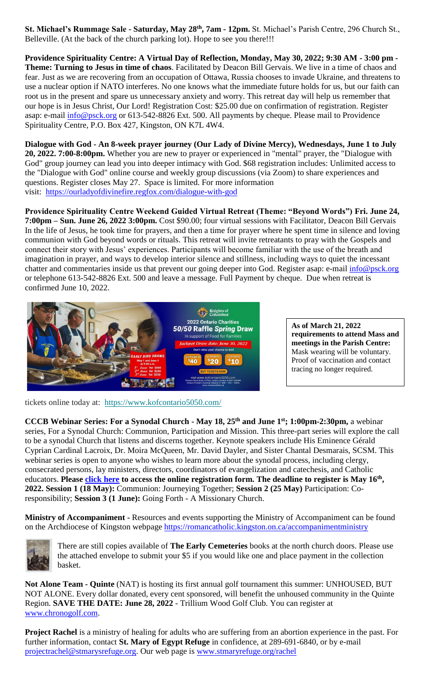**St. Michael's Rummage Sale - Saturday, May 28th, 7am - 12pm.** St. Michael's Parish Centre, 296 Church St., Belleville. (At the back of the church parking lot). Hope to see you there!!!

**Providence Spirituality Centre: A Virtual Day of Reflection, Monday, May 30, 2022; 9:30 AM - 3:00 pm - Theme: Turning to Jesus in time of chaos**. Facilitated by Deacon Bill Gervais. We live in a time of chaos and fear. Just as we are recovering from an occupation of Ottawa, Russia chooses to invade Ukraine, and threatens to use a nuclear option if NATO interferes. No one knows what the immediate future holds for us, but our faith can root us in the present and spare us unnecessary anxiety and worry. This retreat day will help us remember that our hope is in Jesus Christ, Our Lord! Registration Cost: \$25.00 due on confirmation of registration. Register asap: e-mail [info@psck.org](mailto:info@psck.org) or 613-542-8826 Ext. 500. All payments by cheque. Please mail to Providence Spirituality Centre, P.O. Box 427, Kingston, ON K7L 4W4.

**Dialogue with God - An 8-week prayer journey (Our Lady of Divine Mercy), Wednesdays, June 1 to July 20, 2022. 7:00-8:00pm.** Whether you are new to prayer or experienced in "mental" prayer, the "Dialogue with God" group journey can lead you into deeper intimacy with God. \$68 registration includes: Unlimited access to the "Dialogue with God" online course and weekly group discussions (via Zoom) to share experiences and questions. Register closes May 27. Space is limited. For more information visit: <https://ourladyofdivinefire.regfox.com/dialogue-with-god>

**Providence Spirituality Centre Weekend Guided Virtual Retreat (Theme: "Beyond Words") Fri. June 24, 7:00pm – Sun. June 26, 2022 3:00pm.** Cost \$90.00; four virtual sessions with Facilitator, Deacon Bill Gervais In the life of Jesus, he took time for prayers, and then a time for prayer where he spent time in silence and loving communion with God beyond words or rituals. This retreat will invite retreatants to pray with the Gospels and connect their story with Jesus' experiences. Participants will become familiar with the use of the breath and imagination in prayer, and ways to develop interior silence and stillness, including ways to quiet the incessant chatter and commentaries inside us that prevent our going deeper into God. Register asap: e-mail [info@psck.org](mailto:info@psck.org) or telephone 613-542-8826 Ext. 500 and leave a message. Full Payment by cheque. Due when retreat is confirmed June 10, 2022.



**As of March 21, 2022 requirements to attend Mass and meetings in the Parish Centre:**  Mask wearing will be voluntary. Proof of vaccination and contact tracing no longer required.

tickets online today at: [https://www.kofcontario5050.com/](https://ontariokofc.us10.list-manage.com/track/click?u=4d389de207bdf327170011a8b&id=7a863e318a&e=d7149f0d63)

**CCCB Webinar Series: For a Synodal Church - May 18, 25th and June 1st; 1:00pm-2:30pm,** a webinar series, For a Synodal Church: Communion, Participation and Mission. This three-part series will explore the call to be a synodal Church that listens and discerns together. Keynote speakers include His Eminence Gérald Cyprian Cardinal Lacroix, Dr. Moira McQueen, Mr. David Dayler, and Sister Chantal Desmarais, SCSM. This webinar series is open to anyone who wishes to learn more about the synodal process, including clergy, consecrated persons, lay ministers, directors, coordinators of evangelization and catechesis, and Catholic educators. **Please [click here](https://cccb-ca.zoom.us/webinar/register/WN_xYg1RDBCRueTvMl7Ga916Q) to access the online registration form. The deadline to register is May 16th , 2022. Session 1 (18 May):** Communion: Journeying Together; **Session 2 (25 May)** Participation: Coresponsibility; **Session 3 (1 June):** Going Forth - A Missionary Church.

**Ministry of Accompaniment -** Resources and events supporting the Ministry of Accompaniment can be found on the Archdiocese of Kingston webpage<https://romancatholic.kingston.on.ca/accompanimentministry>



There are still copies available of **The Early Cemeteries** books at the north church doors. Please use the attached envelope to submit your \$5 if you would like one and place payment in the collection basket.

**Not Alone Team - Quinte** (NAT) is hosting its first annual golf tournament this summer: UNHOUSED, BUT NOT ALONE. Every dollar donated, every cent sponsored, will benefit the unhoused community in the Quinte Region. **SAVE THE DATE: June 28, 2022** - Trillium Wood Golf Club. You can register at [www.chronogolf.com.](http://www.chronogolf.com/)

**Project Rachel** is a ministry of healing for adults who are suffering from an abortion experience in the past. For further information, contact **St. Mary of Egypt Refuge** in confidence, at 289-691-6840, or by e-mail [projectrachel@stmarysrefuge.org.](mailto:projectrachel@stmarysrefuge.org) Our web page is [www.stmaryrefuge.org/rachel](http://www.stmaryrefuge.org/rachel)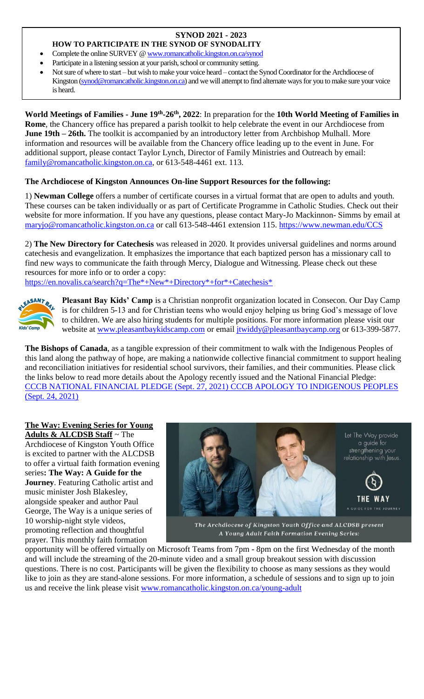## **SYNOD 2021 - 2023**

**HOW TO PARTICIPATE IN THE SYNOD OF SYNODALITY**

- Complete the online SURVEY [@ www.romancatholic.kingston.on.ca/synod](http://www.romancatholic.kingston.on.ca/synod)
- Participate in a listening session at your parish, school or community setting.
- Not sure of where to start but wish to make your voice heard contact the Synod Coordinator for the Archdiocese of Kingston [\(synod@romancatholic.kingston.on.ca\)](mailto:synod@romancatholic.kingston.on.ca) and we will attempt to find alternate ways for you to make sure your voice is heard.

**World Meetings of Families - June 19th -26th, 2022**: In preparation for the **10th World Meeting of Families in Rome**, the Chancery office has prepared a parish toolkit to help celebrate the event in our Archdiocese from **June 19th – 26th.** The toolkit is accompanied by an introductory letter from Archbishop Mulhall. More information and resources will be available from the Chancery office leading up to the event in June. For additional support, please contact Taylor Lynch, Director of Family Ministries and Outreach by email: [family@romancatholic.kingston.on.ca,](mailto:family@romancatholic.kingston.on.ca) or 613-548-4461 ext. 113.

### **The Archdiocese of Kingston Announces On-line Support Resources for the following:**

1) **Newman College** offers a number of certificate courses in a virtual format that are open to adults and youth. These courses can be taken individually or as part of Certificate Programme in Catholic Studies. Check out their website for more information. If you have any questions, please contact Mary-Jo Mackinnon- Simms by email at [maryjo@romancatholic.kingston.on.ca](mailto:maryjo@romancatholic.kingston.on.ca) or call 613-548-4461 extension 115.<https://www.newman.edu/CCS>

2) **The New Directory for Catechesis** was released in 2020. It provides universal guidelines and norms around catechesis and evangelization. It emphasizes the importance that each baptized person has a missionary call to find new ways to communicate the faith through Mercy, Dialogue and Witnessing. Please check out these resources for more info or to order a copy:

[https://en.novalis.ca/search?q=The\\*+New\\*+Directory\\*+for\\*+Catechesis\\*](https://en.novalis.ca/search?q=The*+New*+Directory*+for*+Catechesis*)



**Pleasant Bay Kids' Camp** is a Christian nonprofit organization located in Consecon. Our Day Camp is for children 5-13 and for Christian teens who would enjoy helping us bring God's message of love to children. We are also hiring students for multiple positions. For more information please visit our website at [www.pleasantbaykidscamp.com](http://www.pleasantbaykidscamp.com/) or email [jtwiddy@pleasantbaycamp.org](about:blank) or 613-399-5877.

**The Bishops of Canada**, as a tangible expression of their commitment to walk with the Indigenous Peoples of this land along the pathway of hope, are making a nationwide collective financial commitment to support healing and reconciliation initiatives for residential school survivors, their families, and their communities. Please click the links below to read more details about the Apology recently issued and the National Financial Pledge: [CCCB NATIONAL FINANCIAL PLEDGE \(Sept. 27, 2021\)](https://www.peterboroughdiocese.org/en/resourcesGeneral/Homepage-banners/Residential-School/CCCB/CCCB-News-Release_27-September-2021_EN_FINAL.pdf) [CCCB APOLOGY TO INDIGENOUS PEOPLES](https://www.peterboroughdiocese.org/en/resourcesGeneral/Homepage-banners/Residential-School/CCCB/Statement_from_CBC_to_Indigenous-EN.pdf)  [\(Sept. 24, 2021\)](https://www.peterboroughdiocese.org/en/resourcesGeneral/Homepage-banners/Residential-School/CCCB/Statement_from_CBC_to_Indigenous-EN.pdf)

#### **The Way: Evening Series for Young Adults & ALCDSB Staff** ~ The

Archdiocese of Kingston Youth Office is excited to partner with the ALCDSB to offer a virtual faith formation evening series**: The Way: A Guide for the Journey**. Featuring Catholic artist and music minister Josh Blakesley, alongside speaker and author Paul George, The Way is a unique series of 10 worship-night style videos, promoting reflection and thoughtful prayer. This monthly faith formation



The Archdiocese of Kingston Youth Office and ALCDSB present A Young Adult Faith Formation Evening Series:

opportunity will be offered virtually on Microsoft Teams from 7pm - 8pm on the first Wednesday of the month and will include the streaming of the 20-minute video and a small group breakout session with discussion questions. There is no cost. Participants will be given the flexibility to choose as many sessions as they would like to join as they are stand-alone sessions. For more information, a schedule of sessions and to sign up to join us and receive the link please visit [www.romancatholic.kingston.on.ca/young-adult](http://www.romancatholic.kingston.on.ca/young-adult)